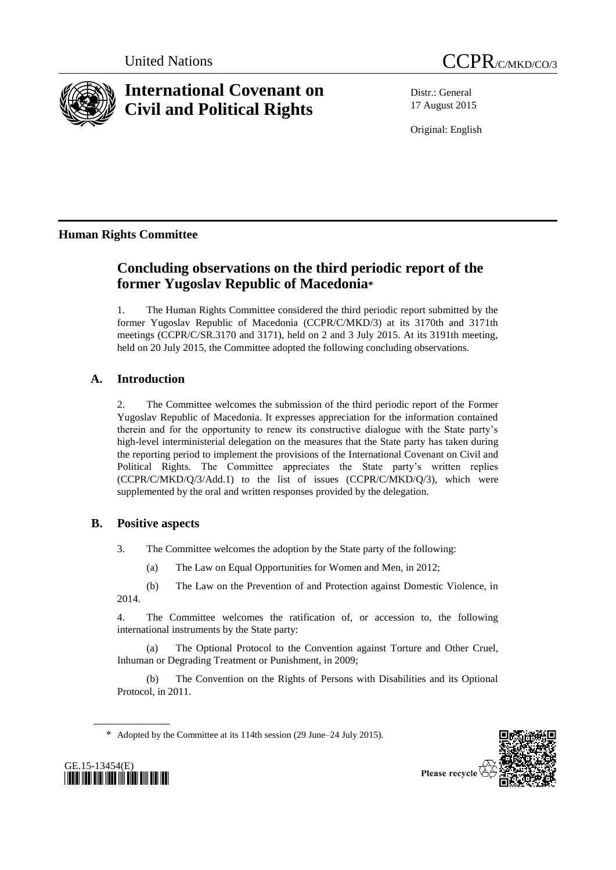

# **International Covenant on Civil and Political Rights**



Distr.: General 17 August 2015

Original: English

## **Human Rights Committee**

## **Concluding observations on the third periodic report of the former Yugoslav Republic of Macedonia\***

1. The Human Rights Committee considered the third periodic report submitted by the former Yugoslav Republic of Macedonia (CCPR/C/MKD/3) at its 3170th and 3171th meetings (CCPR/C/SR.3170 and 3171), held on 2 and 3 July 2015. At its 3191th meeting, held on 20 July 2015, the Committee adopted the following concluding observations.

## **A. Introduction**

2. The Committee welcomes the submission of the third periodic report of the Former Yugoslav Republic of Macedonia. It expresses appreciation for the information contained therein and for the opportunity to renew its constructive dialogue with the State party's high-level interministerial delegation on the measures that the State party has taken during the reporting period to implement the provisions of the International Covenant on Civil and Political Rights. The Committee appreciates the State party's written replies (CCPR/C/MKD/Q/3/Add.1) to the list of issues (CCPR/C/MKD/Q/3), which were supplemented by the oral and written responses provided by the delegation.

## **B. Positive aspects**

3. The Committee welcomes the adoption by the State party of the following:

(a) The Law on Equal Opportunities for Women and Men, in 2012;

(b) The Law on the Prevention of and Protection against Domestic Violence, in 2014.

4. The Committee welcomes the ratification of, or accession to, the following international instruments by the State party:

(a) The Optional Protocol to the Convention against Torture and Other Cruel, Inhuman or Degrading Treatment or Punishment, in 2009;

(b) The Convention on the Rights of Persons with Disabilities and its Optional Protocol, in 2011.

\* Adopted by the Committee at its 114th session (29 June–24 July 2015).



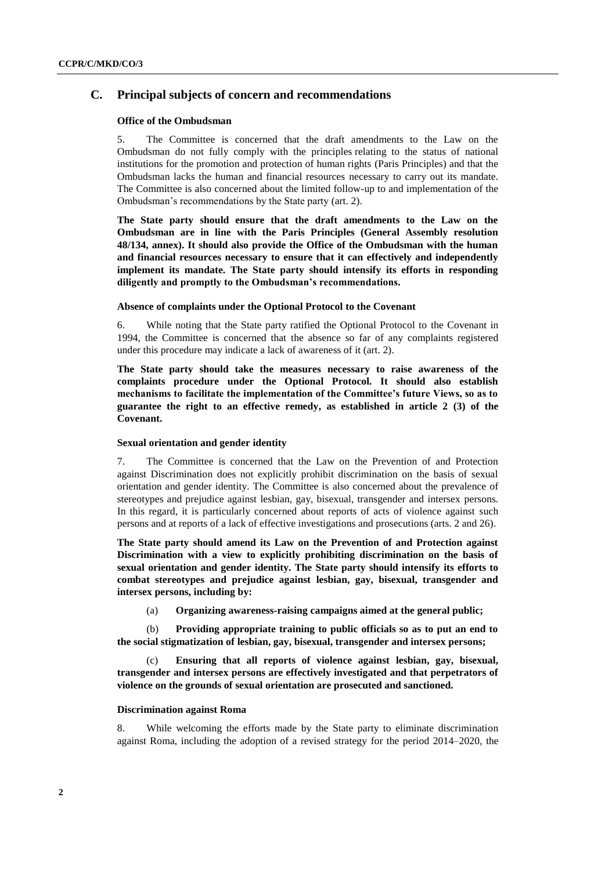### **C. Principal subjects of concern and recommendations**

#### **Office of the Ombudsman**

5. The Committee is concerned that the draft amendments to the Law on the Ombudsman do not fully comply with the principles relating to the status of national institutions for the promotion and protection of human rights (Paris Principles) and that the Ombudsman lacks the human and financial resources necessary to carry out its mandate. The Committee is also concerned about the limited follow-up to and implementation of the Ombudsman's recommendations by the State party (art. 2).

**The State party should ensure that the draft amendments to the Law on the Ombudsman are in line with the Paris Principles (General Assembly resolution 48/134, annex). It should also provide the Office of the Ombudsman with the human and financial resources necessary to ensure that it can effectively and independently implement its mandate. The State party should intensify its efforts in responding diligently and promptly to the Ombudsman's recommendations.**

#### **Absence of complaints under the Optional Protocol to the Covenant**

6. While noting that the State party ratified the Optional Protocol to the Covenant in 1994, the Committee is concerned that the absence so far of any complaints registered under this procedure may indicate a lack of awareness of it (art. 2).

**The State party should take the measures necessary to raise awareness of the complaints procedure under the Optional Protocol. It should also establish mechanisms to facilitate the implementation of the Committee's future Views, so as to guarantee the right to an effective remedy, as established in article 2 (3) of the Covenant.**

#### **Sexual orientation and gender identity**

7. The Committee is concerned that the Law on the Prevention of and Protection against Discrimination does not explicitly prohibit discrimination on the basis of sexual orientation and gender identity. The Committee is also concerned about the prevalence of stereotypes and prejudice against lesbian, gay, bisexual, transgender and intersex persons. In this regard, it is particularly concerned about reports of acts of violence against such persons and at reports of a lack of effective investigations and prosecutions (arts. 2 and 26).

**The State party should amend its Law on the Prevention of and Protection against Discrimination with a view to explicitly prohibiting discrimination on the basis of sexual orientation and gender identity. The State party should intensify its efforts to combat stereotypes and prejudice against lesbian, gay, bisexual, transgender and intersex persons, including by:**

(a) **Organizing awareness-raising campaigns aimed at the general public;** 

(b) **Providing appropriate training to public officials so as to put an end to the social stigmatization of lesbian, gay, bisexual, transgender and intersex persons;**

Ensuring that all reports of violence against lesbian, gay, bisexual, **transgender and intersex persons are effectively investigated and that perpetrators of violence on the grounds of sexual orientation are prosecuted and sanctioned.**

#### **Discrimination against Roma**

8. While welcoming the efforts made by the State party to eliminate discrimination against Roma, including the adoption of a revised strategy for the period 2014–2020, the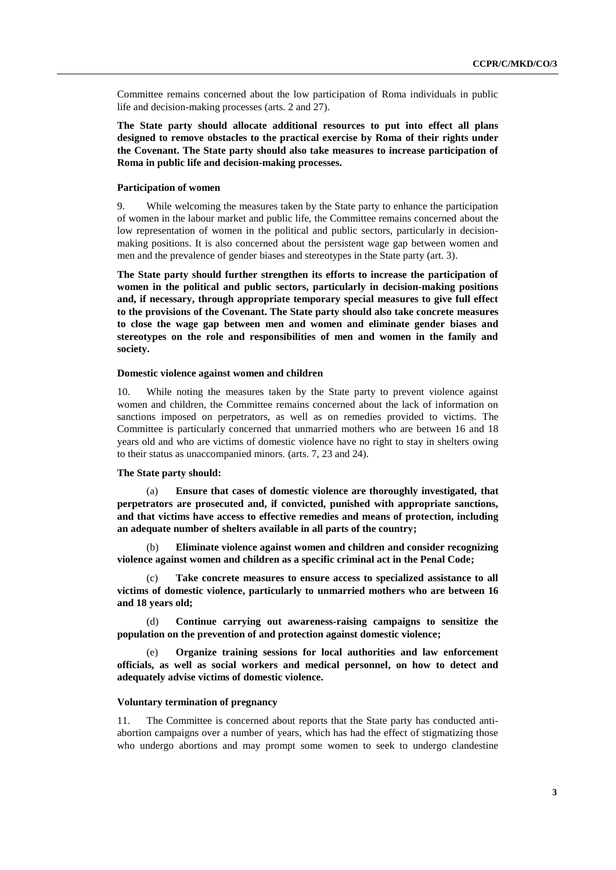Committee remains concerned about the low participation of Roma individuals in public life and decision-making processes (arts. 2 and 27).

**The State party should allocate additional resources to put into effect all plans designed to remove obstacles to the practical exercise by Roma of their rights under the Covenant. The State party should also take measures to increase participation of Roma in public life and decision-making processes.**

#### **Participation of women**

9. While welcoming the measures taken by the State party to enhance the participation of women in the labour market and public life, the Committee remains concerned about the low representation of women in the political and public sectors, particularly in decisionmaking positions. It is also concerned about the persistent wage gap between women and men and the prevalence of gender biases and stereotypes in the State party (art. 3).

**The State party should further strengthen its efforts to increase the participation of women in the political and public sectors, particularly in decision-making positions and, if necessary, through appropriate temporary special measures to give full effect to the provisions of the Covenant. The State party should also take concrete measures to close the wage gap between men and women and eliminate gender biases and stereotypes on the role and responsibilities of men and women in the family and society.**

#### **Domestic violence against women and children**

10. While noting the measures taken by the State party to prevent violence against women and children, the Committee remains concerned about the lack of information on sanctions imposed on perpetrators, as well as on remedies provided to victims. The Committee is particularly concerned that unmarried mothers who are between 16 and 18 years old and who are victims of domestic violence have no right to stay in shelters owing to their status as unaccompanied minors. (arts. 7, 23 and 24).

#### **The State party should:**

(a) **Ensure that cases of domestic violence are thoroughly investigated, that perpetrators are prosecuted and, if convicted, punished with appropriate sanctions, and that victims have access to effective remedies and means of protection, including an adequate number of shelters available in all parts of the country;**

(b) **Eliminate violence against women and children and consider recognizing violence against women and children as a specific criminal act in the Penal Code;**

(c) **Take concrete measures to ensure access to specialized assistance to all victims of domestic violence, particularly to unmarried mothers who are between 16 and 18 years old;**

(d) **Continue carrying out awareness-raising campaigns to sensitize the population on the prevention of and protection against domestic violence;**

(e) **Organize training sessions for local authorities and law enforcement officials, as well as social workers and medical personnel, on how to detect and adequately advise victims of domestic violence.**

#### **Voluntary termination of pregnancy**

11. The Committee is concerned about reports that the State party has conducted antiabortion campaigns over a number of years, which has had the effect of stigmatizing those who undergo abortions and may prompt some women to seek to undergo clandestine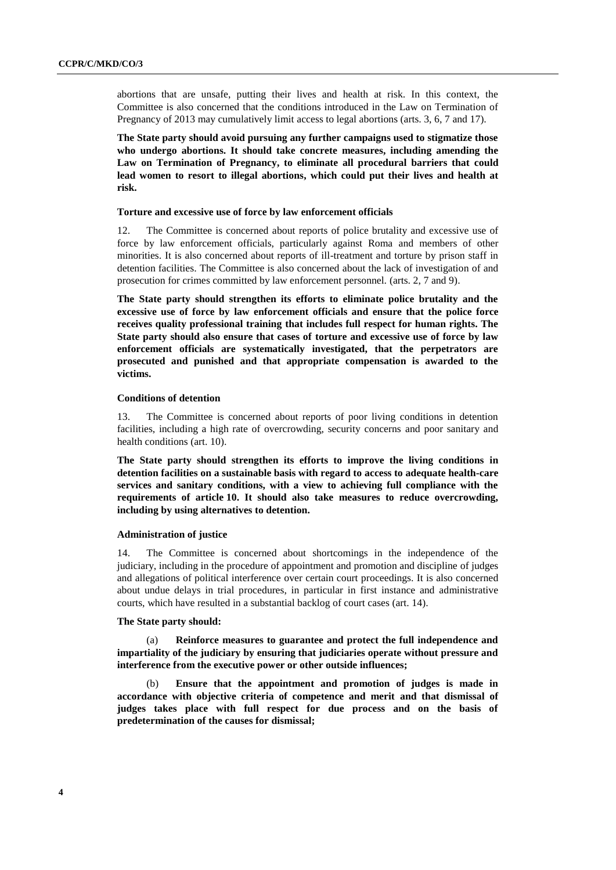abortions that are unsafe, putting their lives and health at risk. In this context, the Committee is also concerned that the conditions introduced in the Law on Termination of Pregnancy of 2013 may cumulatively limit access to legal abortions (arts. 3, 6, 7 and 17).

**The State party should avoid pursuing any further campaigns used to stigmatize those who undergo abortions. It should take concrete measures, including amending the Law on Termination of Pregnancy, to eliminate all procedural barriers that could lead women to resort to illegal abortions, which could put their lives and health at risk.** 

#### **Torture and excessive use of force by law enforcement officials**

12. The Committee is concerned about reports of police brutality and excessive use of force by law enforcement officials, particularly against Roma and members of other minorities. It is also concerned about reports of ill-treatment and torture by prison staff in detention facilities. The Committee is also concerned about the lack of investigation of and prosecution for crimes committed by law enforcement personnel. (arts. 2, 7 and 9).

**The State party should strengthen its efforts to eliminate police brutality and the excessive use of force by law enforcement officials and ensure that the police force receives quality professional training that includes full respect for human rights. The State party should also ensure that cases of torture and excessive use of force by law enforcement officials are systematically investigated, that the perpetrators are prosecuted and punished and that appropriate compensation is awarded to the victims.**

#### **Conditions of detention**

13. The Committee is concerned about reports of poor living conditions in detention facilities, including a high rate of overcrowding, security concerns and poor sanitary and health conditions (art. 10).

**The State party should strengthen its efforts to improve the living conditions in detention facilities on a sustainable basis with regard to access to adequate health-care services and sanitary conditions, with a view to achieving full compliance with the requirements of article 10. It should also take measures to reduce overcrowding, including by using alternatives to detention.**

#### **Administration of justice**

14. The Committee is concerned about shortcomings in the independence of the judiciary, including in the procedure of appointment and promotion and discipline of judges and allegations of political interference over certain court proceedings. It is also concerned about undue delays in trial procedures, in particular in first instance and administrative courts, which have resulted in a substantial backlog of court cases (art. 14).

#### **The State party should:**

Reinforce measures to guarantee and protect the full independence and **impartiality of the judiciary by ensuring that judiciaries operate without pressure and interference from the executive power or other outside influences;** 

(b) **Ensure that the appointment and promotion of judges is made in accordance with objective criteria of competence and merit and that dismissal of judges takes place with full respect for due process and on the basis of predetermination of the causes for dismissal;**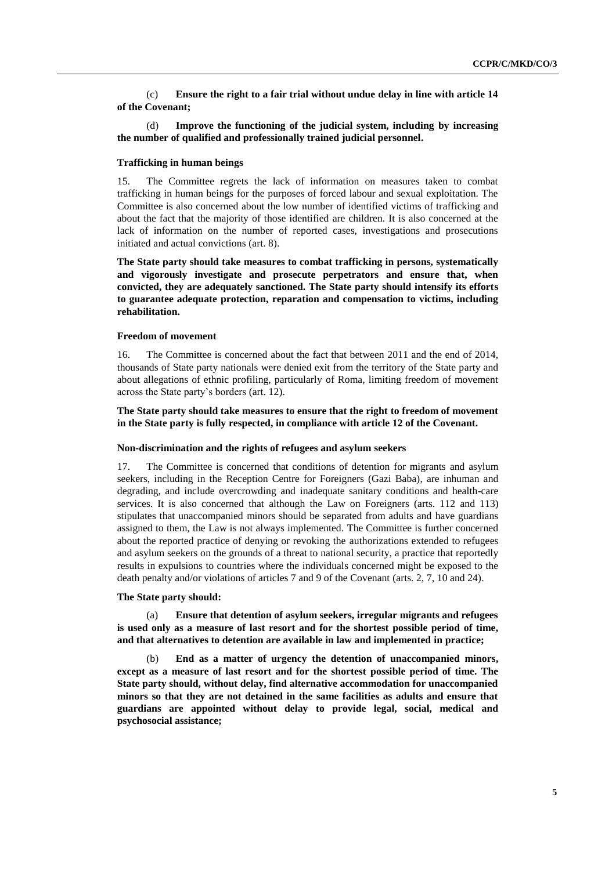(c) **Ensure the right to a fair trial without undue delay in line with article 14 of the Covenant;**

(d) **Improve the functioning of the judicial system, including by increasing the number of qualified and professionally trained judicial personnel.**

#### **Trafficking in human beings**

15. The Committee regrets the lack of information on measures taken to combat trafficking in human beings for the purposes of forced labour and sexual exploitation. The Committee is also concerned about the low number of identified victims of trafficking and about the fact that the majority of those identified are children. It is also concerned at the lack of information on the number of reported cases, investigations and prosecutions initiated and actual convictions (art. 8).

**The State party should take measures to combat trafficking in persons, systematically and vigorously investigate and prosecute perpetrators and ensure that, when convicted, they are adequately sanctioned. The State party should intensify its efforts to guarantee adequate protection, reparation and compensation to victims, including rehabilitation.** 

#### **Freedom of movement**

16. The Committee is concerned about the fact that between 2011 and the end of 2014, thousands of State party nationals were denied exit from the territory of the State party and about allegations of ethnic profiling, particularly of Roma, limiting freedom of movement across the State party's borders (art. 12).

#### **The State party should take measures to ensure that the right to freedom of movement in the State party is fully respected, in compliance with article 12 of the Covenant.**

#### **Non-discrimination and the rights of refugees and asylum seekers**

17. The Committee is concerned that conditions of detention for migrants and asylum seekers, including in the Reception Centre for Foreigners (Gazi Baba), are inhuman and degrading, and include overcrowding and inadequate sanitary conditions and health-care services. It is also concerned that although the Law on Foreigners (arts. 112 and 113) stipulates that unaccompanied minors should be separated from adults and have guardians assigned to them, the Law is not always implemented. The Committee is further concerned about the reported practice of denying or revoking the authorizations extended to refugees and asylum seekers on the grounds of a threat to national security, a practice that reportedly results in expulsions to countries where the individuals concerned might be exposed to the death penalty and/or violations of articles 7 and 9 of the Covenant (arts. 2, 7, 10 and 24).

#### **The State party should:**

(a) **Ensure that detention of asylum seekers, irregular migrants and refugees is used only as a measure of last resort and for the shortest possible period of time, and that alternatives to detention are available in law and implemented in practice;** 

(b) **End as a matter of urgency the detention of unaccompanied minors, except as a measure of last resort and for the shortest possible period of time. The State party should, without delay, find alternative accommodation for unaccompanied minors so that they are not detained in the same facilities as adults and ensure that guardians are appointed without delay to provide legal, social, medical and psychosocial assistance;**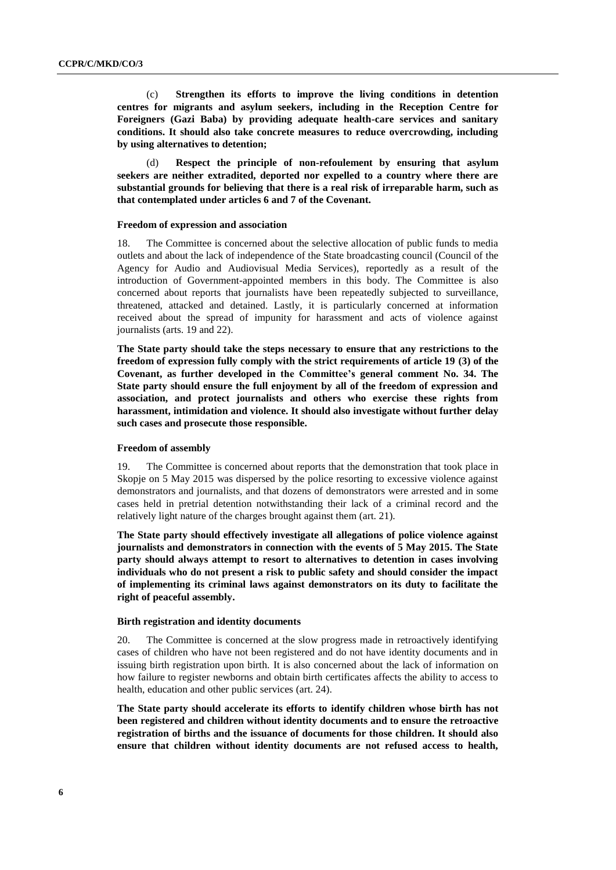(c) **Strengthen its efforts to improve the living conditions in detention centres for migrants and asylum seekers, including in the Reception Centre for Foreigners (Gazi Baba) by providing adequate health-care services and sanitary conditions. It should also take concrete measures to reduce overcrowding, including by using alternatives to detention;** 

(d) **Respect the principle of non-refoulement by ensuring that asylum seekers are neither extradited, deported nor expelled to a country where there are substantial grounds for believing that there is a real risk of irreparable harm, such as that contemplated under articles 6 and 7 of the Covenant.** 

#### **Freedom of expression and association**

18. The Committee is concerned about the selective allocation of public funds to media outlets and about the lack of independence of the State broadcasting council (Council of the Agency for Audio and Audiovisual Media Services), reportedly as a result of the introduction of Government-appointed members in this body. The Committee is also concerned about reports that journalists have been repeatedly subjected to surveillance, threatened, attacked and detained. Lastly, it is particularly concerned at information received about the spread of impunity for harassment and acts of violence against journalists (arts. 19 and 22).

**The State party should take the steps necessary to ensure that any restrictions to the freedom of expression fully comply with the strict requirements of article 19 (3) of the Covenant, as further developed in the Committee's general comment No. 34. The State party should ensure the full enjoyment by all of the freedom of expression and association, and protect journalists and others who exercise these rights from harassment, intimidation and violence. It should also investigate without further delay such cases and prosecute those responsible.**

#### **Freedom of assembly**

19. The Committee is concerned about reports that the demonstration that took place in Skopje on 5 May 2015 was dispersed by the police resorting to excessive violence against demonstrators and journalists, and that dozens of demonstrators were arrested and in some cases held in pretrial detention notwithstanding their lack of a criminal record and the relatively light nature of the charges brought against them (art. 21).

**The State party should effectively investigate all allegations of police violence against journalists and demonstrators in connection with the events of 5 May 2015. The State party should always attempt to resort to alternatives to detention in cases involving individuals who do not present a risk to public safety and should consider the impact of implementing its criminal laws against demonstrators on its duty to facilitate the right of peaceful assembly.**

#### **Birth registration and identity documents**

20. The Committee is concerned at the slow progress made in retroactively identifying cases of children who have not been registered and do not have identity documents and in issuing birth registration upon birth. It is also concerned about the lack of information on how failure to register newborns and obtain birth certificates affects the ability to access to health, education and other public services (art. 24).

**The State party should accelerate its efforts to identify children whose birth has not been registered and children without identity documents and to ensure the retroactive registration of births and the issuance of documents for those children. It should also ensure that children without identity documents are not refused access to health,**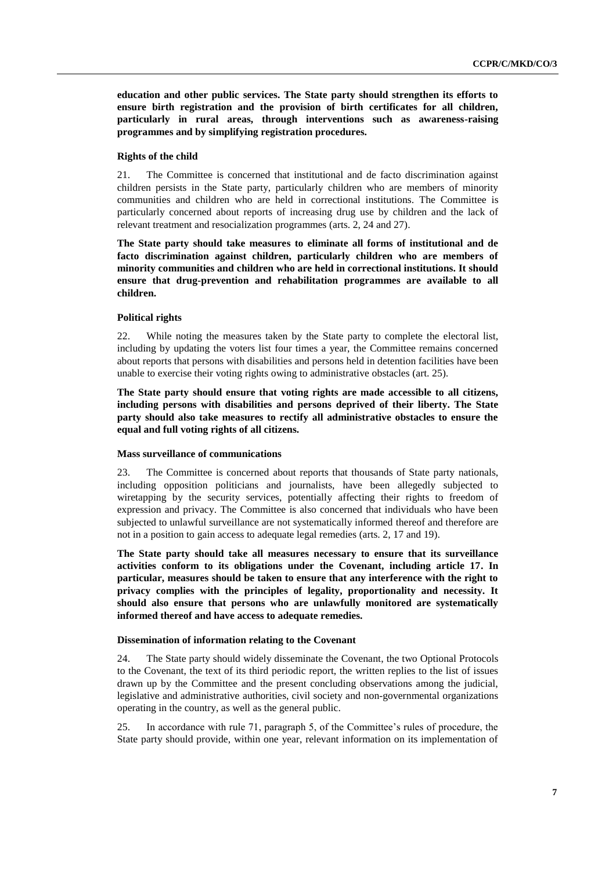**education and other public services. The State party should strengthen its efforts to ensure birth registration and the provision of birth certificates for all children, particularly in rural areas, through interventions such as awareness-raising programmes and by simplifying registration procedures.**

#### **Rights of the child**

21. The Committee is concerned that institutional and de facto discrimination against children persists in the State party, particularly children who are members of minority communities and children who are held in correctional institutions. The Committee is particularly concerned about reports of increasing drug use by children and the lack of relevant treatment and resocialization programmes (arts. 2, 24 and 27).

**The State party should take measures to eliminate all forms of institutional and de facto discrimination against children, particularly children who are members of minority communities and children who are held in correctional institutions. It should ensure that drug-prevention and rehabilitation programmes are available to all children.** 

#### **Political rights**

22. While noting the measures taken by the State party to complete the electoral list, including by updating the voters list four times a year, the Committee remains concerned about reports that persons with disabilities and persons held in detention facilities have been unable to exercise their voting rights owing to administrative obstacles (art. 25).

**The State party should ensure that voting rights are made accessible to all citizens, including persons with disabilities and persons deprived of their liberty. The State party should also take measures to rectify all administrative obstacles to ensure the equal and full voting rights of all citizens.**

#### **Mass surveillance of communications**

23. The Committee is concerned about reports that thousands of State party nationals, including opposition politicians and journalists, have been allegedly subjected to wiretapping by the security services, potentially affecting their rights to freedom of expression and privacy. The Committee is also concerned that individuals who have been subjected to unlawful surveillance are not systematically informed thereof and therefore are not in a position to gain access to adequate legal remedies (arts. 2, 17 and 19).

**The State party should take all measures necessary to ensure that its surveillance activities conform to its obligations under the Covenant, including article 17. In particular, measures should be taken to ensure that any interference with the right to privacy complies with the principles of legality, proportionality and necessity. It should also ensure that persons who are unlawfully monitored are systematically informed thereof and have access to adequate remedies.**

#### **Dissemination of information relating to the Covenant**

24. The State party should widely disseminate the Covenant, the two Optional Protocols to the Covenant, the text of its third periodic report, the written replies to the list of issues drawn up by the Committee and the present concluding observations among the judicial, legislative and administrative authorities, civil society and non-governmental organizations operating in the country, as well as the general public.

25. In accordance with rule 71, paragraph 5, of the Committee's rules of procedure, the State party should provide, within one year, relevant information on its implementation of